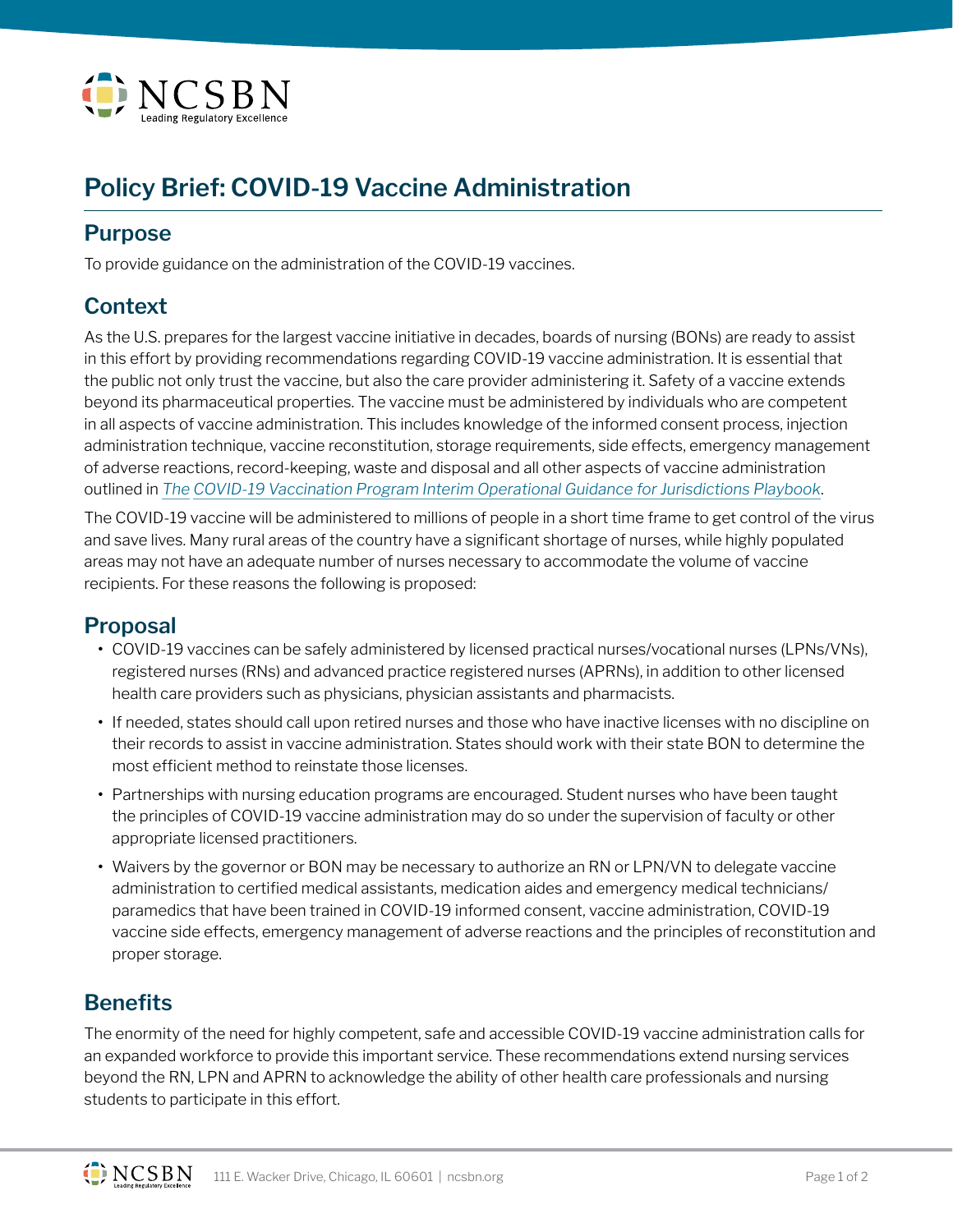

# **Policy Brief: COVID-19 Vaccine Administration**

### **Purpose**

To provide guidance on the administration of the COVID-19 vaccines.

## **Context**

As the U.S. prepares for the largest vaccine initiative in decades, boards of nursing (BONs) are ready to assist in this effort by providing recommendations regarding COVID-19 vaccine administration. It is essential that the public not only trust the vaccine, but also the care provider administering it. Safety of a vaccine extends beyond its pharmaceutical properties. The vaccine must be administered by individuals who are competent in all aspects of vaccine administration. This includes knowledge of the informed consent process, injection administration technique, vaccine reconstitution, storage requirements, side effects, emergency management of adverse reactions, record-keeping, waste and disposal and all other aspects of vaccine administration outlined in *The [COVID-19 Vaccination Program Interim Operational Guidance for Jurisdictions Playbook](https://www.cdc.gov/vaccines/covid-19/covid19-vaccination-guidance.html)*.

The COVID-19 vaccine will be administered to millions of people in a short time frame to get control of the virus and save lives. Many rural areas of the country have a significant shortage of nurses, while highly populated areas may not have an adequate number of nurses necessary to accommodate the volume of vaccine recipients. For these reasons the following is proposed:

#### **Proposal**

- **•** COVID-19 vaccines can be safely administered by licensed practical nurses/vocational nurses (LPNs/VNs), registered nurses (RNs) and advanced practice registered nurses (APRNs), in addition to other licensed health care providers such as physicians, physician assistants and pharmacists.
- **•** If needed, states should call upon retired nurses and those who have inactive licenses with no discipline on their records to assist in vaccine administration. States should work with their state BON to determine the most efficient method to reinstate those licenses.
- **•** Partnerships with nursing education programs are encouraged. Student nurses who have been taught the principles of COVID-19 vaccine administration may do so under the supervision of faculty or other appropriate licensed practitioners.
- **•** Waivers by the governor or BON may be necessary to authorize an RN or LPN/VN to delegate vaccine administration to certified medical assistants, medication aides and emergency medical technicians/ paramedics that have been trained in COVID-19 informed consent, vaccine administration, COVID-19 vaccine side effects, emergency management of adverse reactions and the principles of reconstitution and proper storage.

# **Benefits**

The enormity of the need for highly competent, safe and accessible COVID-19 vaccine administration calls for an expanded workforce to provide this important service. These recommendations extend nursing services beyond the RN, LPN and APRN to acknowledge the ability of other health care professionals and nursing students to participate in this effort.